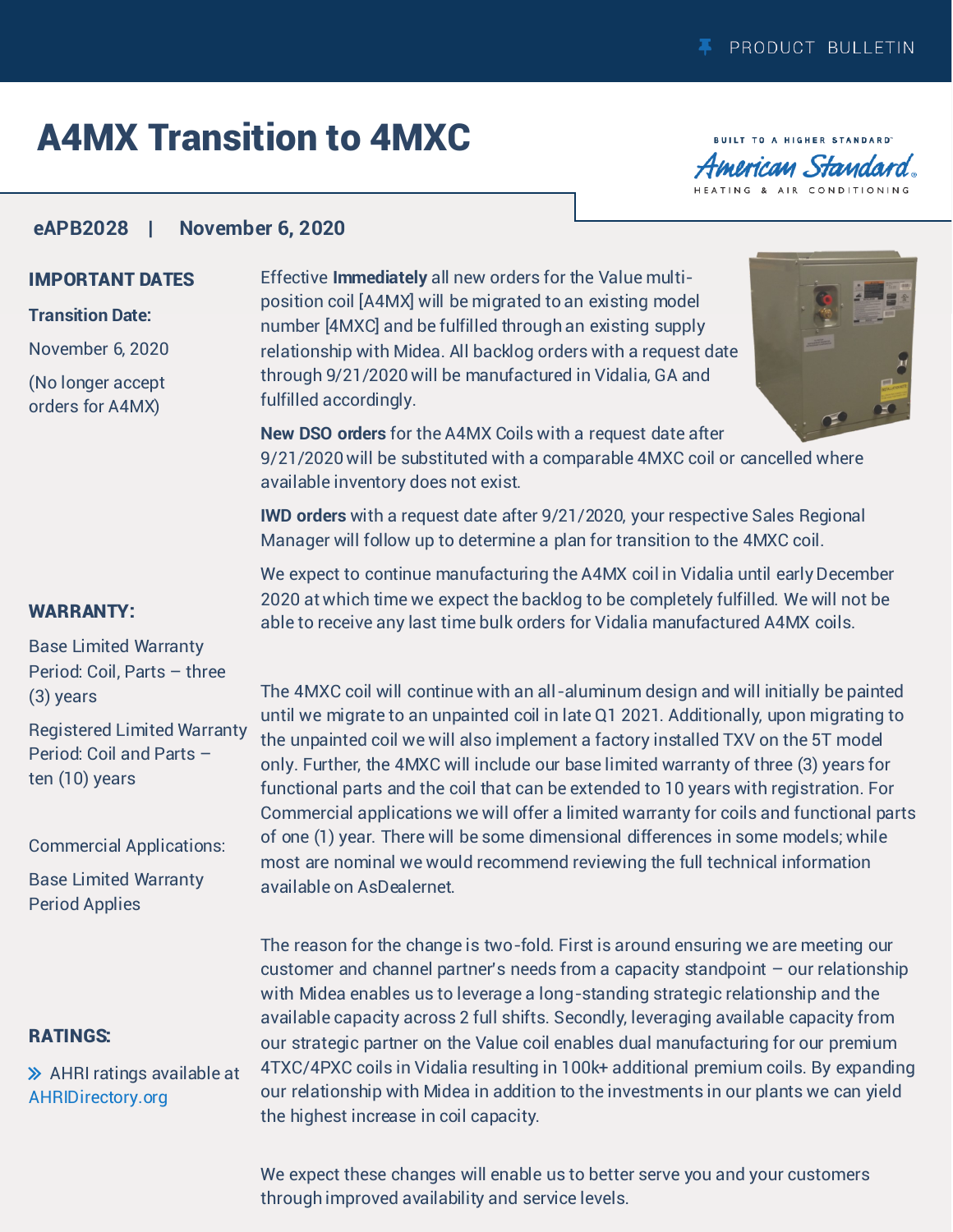# A4MX Transition to 4MXC

**BUILT TO A HIGHER STANDARD** merican Standard HEATING & AIR CONDITIONING

### **eAPB2028 | November 6, 2020**

### IMPORTANT DATES

### **Transition Date:**

November 6, 2020

(No longer accept orders for A4MX)

#### WARRANTY:

Base Limited Warranty Period: Coil, Parts – three (3) years

Registered Limited Warranty Period: Coil and Parts – ten (10) years

Commercial Applications:

Base Limited Warranty Period Applies

### RATINGS:

 $\gg$  AHRI ratings available at AHRID[irectory.org](http://ahridirectory.org)

Effective **Immediately** all new orders for the Value multiposition coil [A4MX] will be migrated to an existing model number [4MXC] and be fulfilled through an existing supply relationship with Midea. All backlog orders with a request date through 9/21/2020 will be manufactured in Vidalia, GA and fulfilled accordingly.



**New DSO orders** for the A4MX Coils with a request date after 9/21/2020 will be substituted with a comparable 4MXC coil or cancelled where

available inventory does not exist.

**IWD orders** with a request date after 9/21/2020, your respective Sales Regional Manager will follow up to determine a plan for transition to the 4MXC coil.

We expect to continue manufacturing the A4MX coil in Vidalia until early December 2020 at which time we expect the backlog to be completely fulfilled. We will not be able to receive any last time bulk orders for Vidalia manufactured A4MX coils.

The 4MXC coil will continue with an all-aluminum design and will initially be painted until we migrate to an unpainted coil in late Q1 2021. Additionally, upon migrating to the unpainted coil we will also implement a factory installed TXV on the 5T model only. Further, the 4MXC will include our base limited warranty of three (3) years for functional parts and the coil that can be extended to 10 years with registration. For Commercial applications we will offer a limited warranty for coils and functional parts of one (1) year. There will be some dimensional differences in some models; while most are nominal we would recommend reviewing the full technical information available on AsDealernet.

The reason for the change is two-fold. First is around ensuring we are meeting our customer and channel partner's needs from a capacity standpoint – our relationship with Midea enables us to leverage a long-standing strategic relationship and the available capacity across 2 full shifts. Secondly, leveraging available capacity from our strategic partner on the Value coil enables dual manufacturing for our premium 4TXC/4PXC coils in Vidalia resulting in 100k+ additional premium coils. By expanding our relationship with Midea in addition to the investments in our plants we can yield the highest increase in coil capacity.

We expect these changes will enable us to better serve you and your customers through improved availability and service levels.